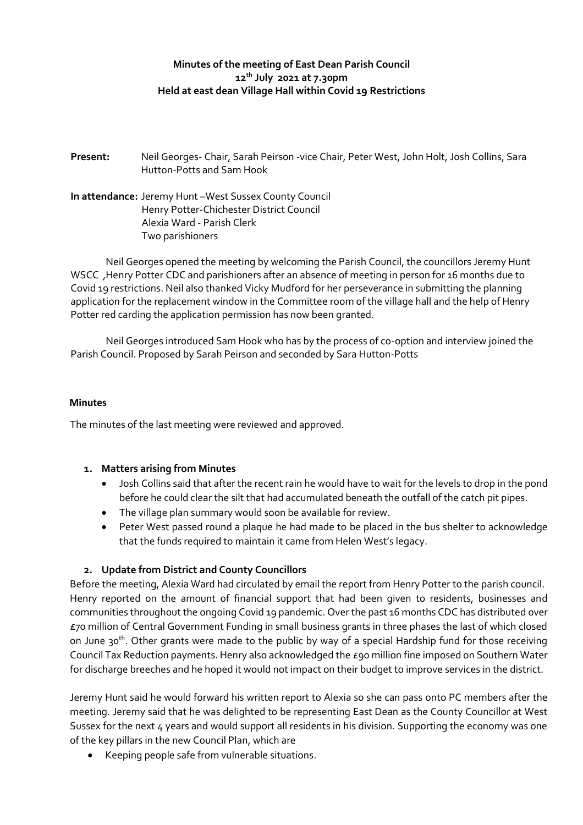# **Minutes of the meeting of East Dean Parish Council 12th July 2021 at 7.30pm Held at east dean Village Hall within Covid 19 Restrictions**

**Present:** Neil Georges- Chair, Sarah Peirson -vice Chair, Peter West, John Holt, Josh Collins, Sara Hutton-Potts and Sam Hook

**In attendance:** Jeremy Hunt –West Sussex County Council Henry Potter-Chichester District Council Alexia Ward - Parish Clerk Two parishioners

Neil Georges opened the meeting by welcoming the Parish Council, the councillors Jeremy Hunt WSCC ,Henry Potter CDC and parishioners after an absence of meeting in person for 16 months due to Covid 19 restrictions. Neil also thanked Vicky Mudford for her perseverance in submitting the planning application for the replacement window in the Committee room of the village hall and the help of Henry Potter red carding the application permission has now been granted.

Neil Georges introduced Sam Hook who has by the process of co-option and interview joined the Parish Council. Proposed by Sarah Peirson and seconded by Sara Hutton-Potts

#### **Minutes**

The minutes of the last meeting were reviewed and approved.

#### **1. Matters arising from Minutes**

- Josh Collins said that after the recent rain he would have to wait for the levels to drop in the pond before he could clear the silt that had accumulated beneath the outfall of the catch pit pipes.
- The village plan summary would soon be available for review.
- Peter West passed round a plaque he had made to be placed in the bus shelter to acknowledge that the funds required to maintain it came from Helen West's legacy.

## **2. Update from District and County Councillors**

Before the meeting, Alexia Ward had circulated by email the report from Henry Potter to the parish council. Henry reported on the amount of financial support that had been given to residents, businesses and communities throughout the ongoing Covid 19 pandemic. Over the past 16 months CDC has distributed over £70 million of Central Government Funding in small business grants in three phases the last of which closed on June 30<sup>th</sup>. Other grants were made to the public by way of a special Hardship fund for those receiving Council Tax Reduction payments. Henry also acknowledged the £90 million fine imposed on Southern Water for discharge breeches and he hoped it would not impact on their budget to improve services in the district.

Jeremy Hunt said he would forward his written report to Alexia so she can pass onto PC members after the meeting. Jeremy said that he was delighted to be representing East Dean as the County Councillor at West Sussex for the next 4 years and would support all residents in his division. Supporting the economy was one of the key pillars in the new Council Plan, which are

• Keeping people safe from vulnerable situations.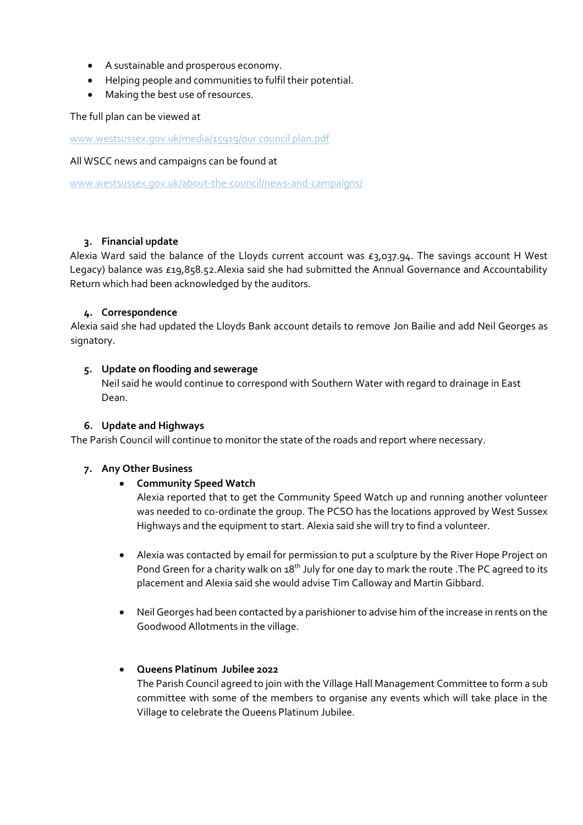- A sustainable and prosperous economy.
- Helping people and communities to fulfil their potential.
- Making the best use of resources.

The full plan can be viewed at

[www.westsussex.gov.uk/media/15919/our council plan.pdf](http://www.westsussex.gov.uk/media/15919/our%20council%20plan.pdf)

#### All WSCC news and campaigns can be found at

[www.westsussex.gov.uk/about-the-council/news-and-campaigns/](http://www.westsussex.gov.uk/about-the-council/news-and-campaigns/)

## **3. Financial update**

Alexia Ward said the balance of the Lloyds current account was  $E_3$ ,037.94. The savings account H West Legacy) balance was £19,858.52.Alexia said she had submitted the Annual Governance and Accountability Return which had been acknowledged by the auditors.

## **4. Correspondence**

Alexia said she had updated the Lloyds Bank account details to remove Jon Bailie and add Neil Georges as signatory.

## **5. Update on flooding and sewerage**

Neil said he would continue to correspond with Southern Water with regard to drainage in East Dean.

## **6. Update and Highways**

The Parish Council will continue to monitor the state of the roads and report where necessary.

## **7. Any Other Business**

## • **Community Speed Watch**

Alexia reported that to get the Community Speed Watch up and running another volunteer was needed to co-ordinate the group. The PCSO has the locations approved by West Sussex Highways and the equipment to start. Alexia said she will try to find a volunteer.

- Alexia was contacted by email for permission to put a sculpture by the River Hope Project on Pond Green for a charity walk on 18<sup>th</sup> July for one day to mark the route . The PC agreed to its placement and Alexia said she would advise Tim Calloway and Martin Gibbard.
- Neil Georges had been contacted by a parishioner to advise him of the increase in rents on the Goodwood Allotments in the village.

## • **Queens Platinum Jubilee 2022**

The Parish Council agreed to join with the Village Hall Management Committee to form a sub committee with some of the members to organise any events which will take place in the Village to celebrate the Queens Platinum Jubilee.